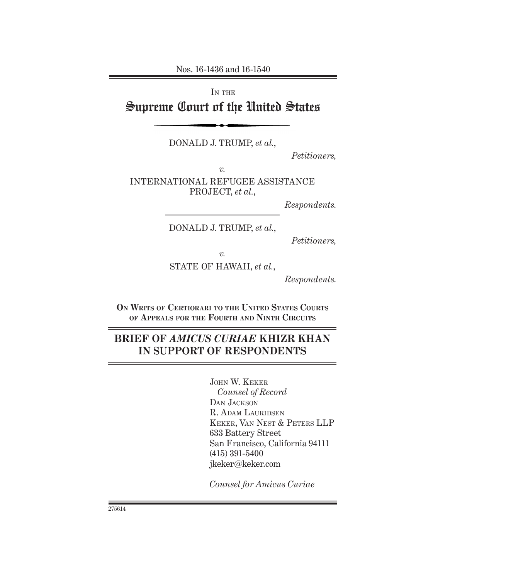Nos. 16-1436 and 16-1540

IN THE

# Supreme Court of the United States

DONALD J. TRUMP, *et al.*,

*Petitioners,*

*v.* INTERNATIONAL REFUGEE ASSISTANCE PROJECT, *et al.*,

*Respondents.*

DONALD J. TRUMP, *et al.*,

*Petitioners,*

*v.* STATE OF HAWAII, *et al.*,

*Respondents.*

**On Writs of Certiorari to the United States Courts of Appeals for the Fourth and Ninth Circuits**

## **BRIEF OF** *AMICUS CURIAE* **KHIZR KHAN IN SUPPORT OF RESPONDENTS**

John W. Keker *Counsel of Record* DAN JACKSON R. Adam Lauridsen Keker, Van Nest & Peters LLP 633 Battery Street San Francisco, California 94111 (415) 391-5400 jkeker@keker.com

*Counsel for Amicus Curiae*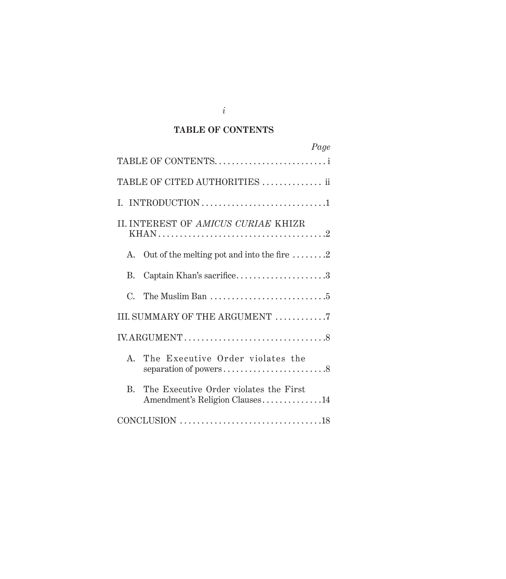## **TABLE OF CONTENTS**

| Page                                                                                     |
|------------------------------------------------------------------------------------------|
| TABLE OF CONTENTS                                                                        |
| TABLE OF CITED AUTHORITIES  ii                                                           |
|                                                                                          |
| II. INTEREST OF AMICUS CURIAE KHIZR                                                      |
| Out of the melting pot and into the fire $\dots \dots 2$<br>A.                           |
| Captain Khan's sacrifice3<br>В.                                                          |
| The Muslim Ban $\dots\dots\dots\dots\dots\dots\dots\dots\dots$<br>$C_{\cdot}$            |
| III. SUMMARY OF THE ARGUMENT 7                                                           |
|                                                                                          |
| The Executive Order violates the<br>$A_{\cdot}$                                          |
| The Executive Order violates the First<br>$\mathbf{R}$<br>Amendment's Religion Clauses14 |
|                                                                                          |

*i*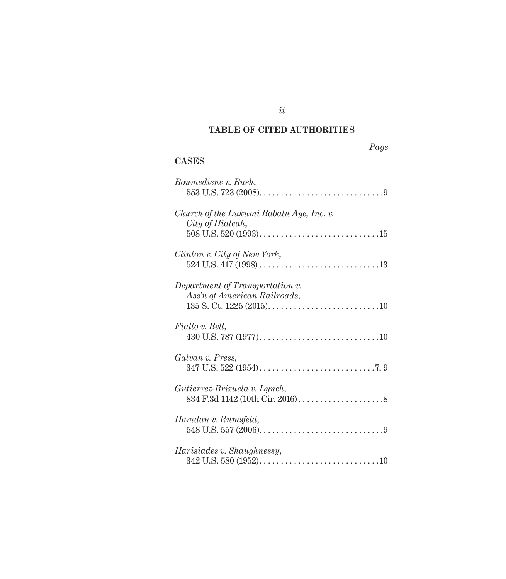## **TABLE OF CITED AUTHORITIES**

### **CASES**

| Boumediene v. Bush,                                                                                             |
|-----------------------------------------------------------------------------------------------------------------|
| Church of the Lukumi Babalu Aye, Inc. v.<br>City of Hialeah,                                                    |
| Clinton v. City of New York,                                                                                    |
| Department of Transportation v.<br>Ass'n of American Railroads,                                                 |
| Fiallo v. Bell,                                                                                                 |
| Galvan v. Press,                                                                                                |
| Gutierrez-Brizuela v. Lynch,                                                                                    |
| Hamdan v. Rumsfeld,<br>548 U.S. 557 (2006). $\dots \dots \dots \dots \dots \dots \dots \dots \dots \dots \dots$ |
| Harisiades v. Shaughnessy,                                                                                      |

*ii*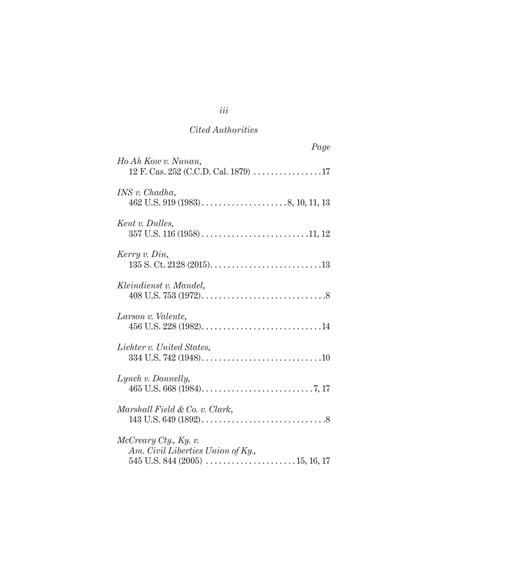| Page                                                        |
|-------------------------------------------------------------|
| Ho Ah Kow v. Nunan,<br>12 F. Cas. 252 (C.C.D. Cal. 1879) 17 |
| INS v. Chadha,                                              |
| Kent v. Dulles,                                             |
| Kerry v. Din,                                               |
| Kleindienst v. Mandel,                                      |
| Larson v. Valente,                                          |
| Lichter v. United States,                                   |
| Lynch v. Donnelly,                                          |
| Marshall Field & Co. v. Clark,                              |
| McCreary Cty., Ky. v.<br>Am. Civil Liberties Union of Ky.,  |

## *iii*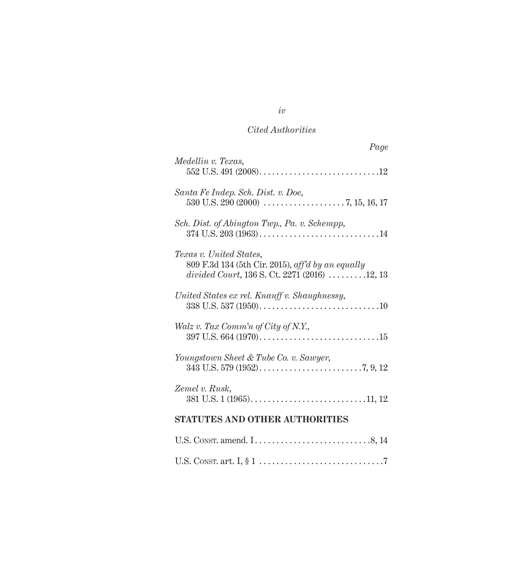| Page                                                                                                                                                |
|-----------------------------------------------------------------------------------------------------------------------------------------------------|
| Medellin v. Texas,                                                                                                                                  |
| Santa Fe Indep. Sch. Dist. v. Doe,                                                                                                                  |
| Sch. Dist. of Abington Twp., Pa. v. Schempp,                                                                                                        |
| Texas v. United States,<br>809 F.3d 134 (5th Cir. 2015), aff'd by an equally<br>divided Court, 136 S. Ct. 2271 (2016) $\ldots \ldots \ldots$ 12, 13 |
| United States ex rel. Knauff v. Shaughnessy,                                                                                                        |
| Walz v. Tax Comm'n of City of N.Y.,                                                                                                                 |
| Youngstown Sheet & Tube Co. v. Sawyer,                                                                                                              |
| Zemel v. Rusk,                                                                                                                                      |
| <b>STATUTES AND OTHER AUTHORITIES</b>                                                                                                               |
|                                                                                                                                                     |
|                                                                                                                                                     |

*iv*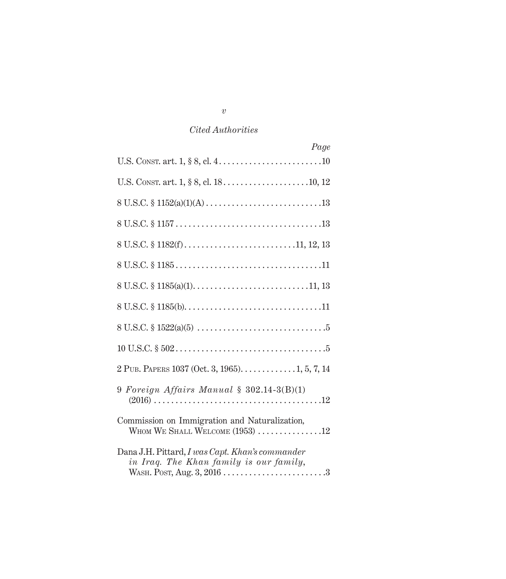| Page                                                                                       |
|--------------------------------------------------------------------------------------------|
|                                                                                            |
|                                                                                            |
|                                                                                            |
|                                                                                            |
|                                                                                            |
|                                                                                            |
|                                                                                            |
|                                                                                            |
|                                                                                            |
|                                                                                            |
|                                                                                            |
| 9 Foreign Affairs Manual $\S$ 302.14-3(B)(1)                                               |
| Commission on Immigration and Naturalization,<br>WHOM WE SHALL WELCOME $(1953)$ 12         |
| Dana J.H. Pittard, I was Capt. Khan's commander<br>in Iraq. The Khan family is our family, |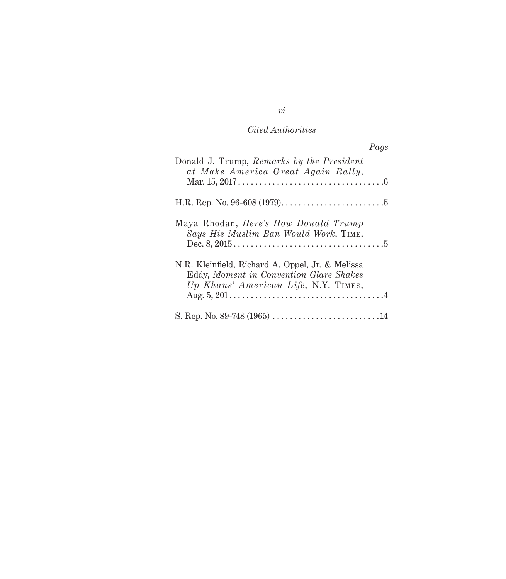|                                                                                                                                     | Page |
|-------------------------------------------------------------------------------------------------------------------------------------|------|
| Donald J. Trump, Remarks by the President<br>at Make America Great Again Rally,                                                     |      |
|                                                                                                                                     |      |
| Maya Rhodan, <i>Here's How Donald Trump</i><br>Says His Muslim Ban Would Work, TIME,                                                |      |
| N.R. Kleinfield, Richard A. Oppel, Jr. & Melissa<br>Eddy, Moment in Convention Glare Shakes<br>Up Khans' American Life, N.Y. TIMES, |      |
|                                                                                                                                     |      |

*vi*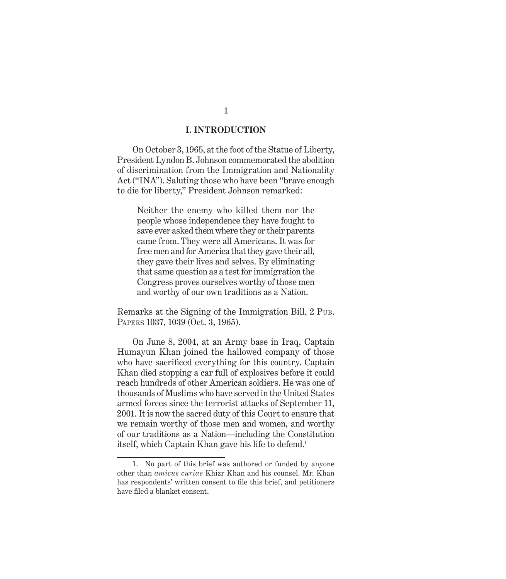#### **I. INTRODUCTION**

On October 3, 1965, at the foot of the Statue of Liberty, President Lyndon B. Johnson commemorated the abolition of discrimination from the Immigration and Nationality Act ("INA"). Saluting those who have been "brave enough to die for liberty," President Johnson remarked:

Neither the enemy who killed them nor the people whose independence they have fought to save ever asked them where they or their parents came from. They were all Americans. It was for free men and for America that they gave their all, they gave their lives and selves. By eliminating that same question as a test for immigration the Congress proves ourselves worthy of those men and worthy of our own traditions as a Nation.

Remarks at the Signing of the Immigration Bill, 2 Pub. Papers 1037, 1039 (Oct. 3, 1965).

On June 8, 2004, at an Army base in Iraq, Captain Humayun Khan joined the hallowed company of those who have sacrificed everything for this country. Captain Khan died stopping a car full of explosives before it could reach hundreds of other American soldiers. He was one of thousands of Muslims who have served in the United States armed forces since the terrorist attacks of September 11, 2001. It is now the sacred duty of this Court to ensure that we remain worthy of those men and women, and worthy of our traditions as a Nation—including the Constitution itself, which Captain Khan gave his life to defend.1

<sup>1.</sup> No part of this brief was authored or funded by anyone other than *amicus curiae* Khizr Khan and his counsel. Mr. Khan has respondents' written consent to file this brief, and petitioners have filed a blanket consent.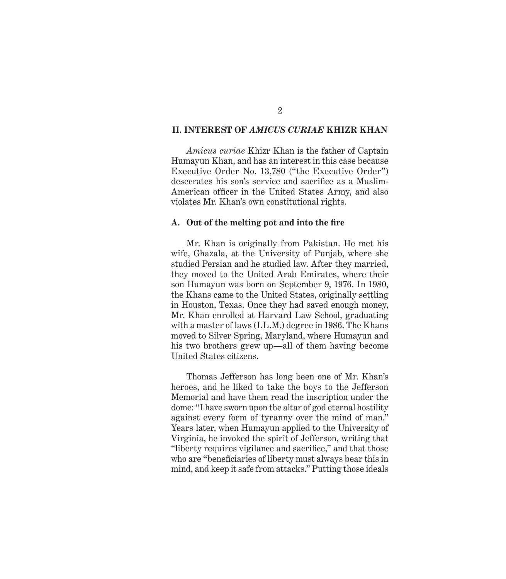#### **II. INTEREST OF** *AMICUS CURIAE* **KHIZR KHAN**

*Amicus curiae* Khizr Khan is the father of Captain Humayun Khan, and has an interest in this case because Executive Order No. 13,780 ("the Executive Order") desecrates his son's service and sacrifice as a Muslim-American officer in the United States Army, and also violates Mr. Khan's own constitutional rights.

#### **A. Out of the melting pot and into the fire**

Mr. Khan is originally from Pakistan. He met his wife, Ghazala, at the University of Punjab, where she studied Persian and he studied law. After they married, they moved to the United Arab Emirates, where their son Humayun was born on September 9, 1976. In 1980, the Khans came to the United States, originally settling in Houston, Texas. Once they had saved enough money, Mr. Khan enrolled at Harvard Law School, graduating with a master of laws (LL.M.) degree in 1986. The Khans moved to Silver Spring, Maryland, where Humayun and his two brothers grew up—all of them having become United States citizens.

Thomas Jefferson has long been one of Mr. Khan's heroes, and he liked to take the boys to the Jefferson Memorial and have them read the inscription under the dome: "I have sworn upon the altar of god eternal hostility against every form of tyranny over the mind of man." Years later, when Humayun applied to the University of Virginia, he invoked the spirit of Jefferson, writing that "liberty requires vigilance and sacrifice," and that those who are "beneficiaries of liberty must always bear this in mind, and keep it safe from attacks." Putting those ideals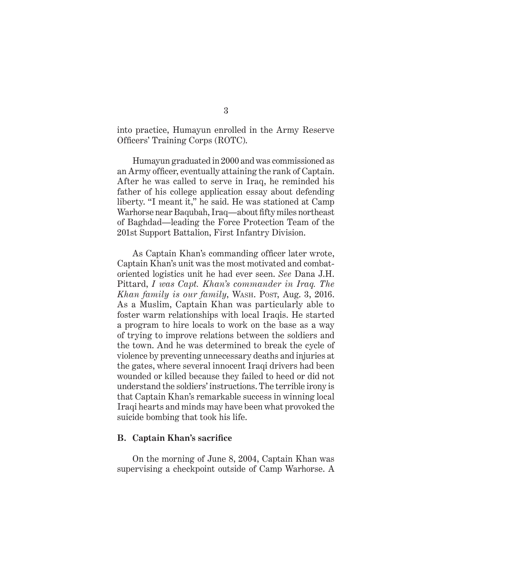into practice, Humayun enrolled in the Army Reserve Officers' Training Corps (ROTC).

Humayun graduated in 2000 and was commissioned as an Army officer, eventually attaining the rank of Captain. After he was called to serve in Iraq, he reminded his father of his college application essay about defending liberty. "I meant it," he said. He was stationed at Camp Warhorse near Baqubah, Iraq—about fifty miles northeast of Baghdad—leading the Force Protection Team of the 201st Support Battalion, First Infantry Division.

As Captain Khan's commanding officer later wrote, Captain Khan's unit was the most motivated and combatoriented logistics unit he had ever seen. *See* Dana J.H. Pittard, *I was Capt. Khan's commander in Iraq. The Khan family is our family*, WASH. Post, Aug. 3, 2016. As a Muslim, Captain Khan was particularly able to foster warm relationships with local Iraqis. He started a program to hire locals to work on the base as a way of trying to improve relations between the soldiers and the town. And he was determined to break the cycle of violence by preventing unnecessary deaths and injuries at the gates, where several innocent Iraqi drivers had been wounded or killed because they failed to heed or did not understand the soldiers' instructions. The terrible irony is that Captain Khan's remarkable success in winning local Iraqi hearts and minds may have been what provoked the suicide bombing that took his life.

#### **B. Captain Khan's sacrifice**

On the morning of June 8, 2004, Captain Khan was supervising a checkpoint outside of Camp Warhorse. A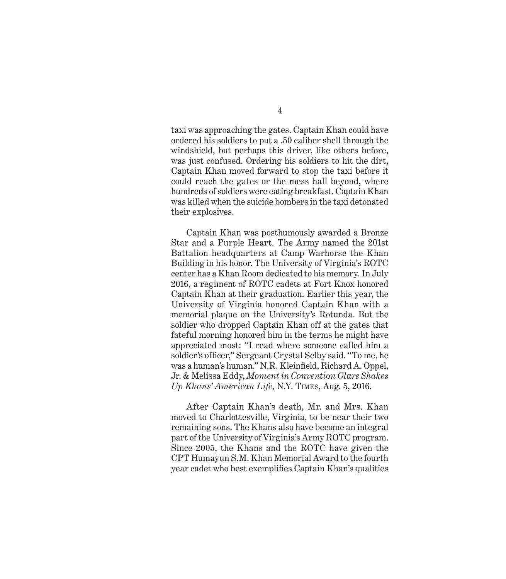taxi was approaching the gates. Captain Khan could have ordered his soldiers to put a .50 caliber shell through the windshield, but perhaps this driver, like others before, was just confused. Ordering his soldiers to hit the dirt, Captain Khan moved forward to stop the taxi before it could reach the gates or the mess hall beyond, where hundreds of soldiers were eating breakfast. Captain Khan was killed when the suicide bombers in the taxi detonated their explosives.

Captain Khan was posthumously awarded a Bronze Star and a Purple Heart. The Army named the 201st Battalion headquarters at Camp Warhorse the Khan Building in his honor. The University of Virginia's ROTC center has a Khan Room dedicated to his memory. In July 2016, a regiment of ROTC cadets at Fort Knox honored Captain Khan at their graduation. Earlier this year, the University of Virginia honored Captain Khan with a memorial plaque on the University's Rotunda. But the soldier who dropped Captain Khan off at the gates that fateful morning honored him in the terms he might have appreciated most: "I read where someone called him a soldier's officer," Sergeant Crystal Selby said. "To me, he was a human's human." N.R. Kleinfield, Richard A. Oppel, Jr. & Melissa Eddy, *Moment in Convention Glare Shakes Up Khans' American Life*, N.Y. Times, Aug. 5, 2016.

After Captain Khan's death, Mr. and Mrs. Khan moved to Charlottesville, Virginia, to be near their two remaining sons. The Khans also have become an integral part of the University of Virginia's Army ROTC program. Since 2005, the Khans and the ROTC have given the CPT Humayun S.M. Khan Memorial Award to the fourth year cadet who best exemplifies Captain Khan's qualities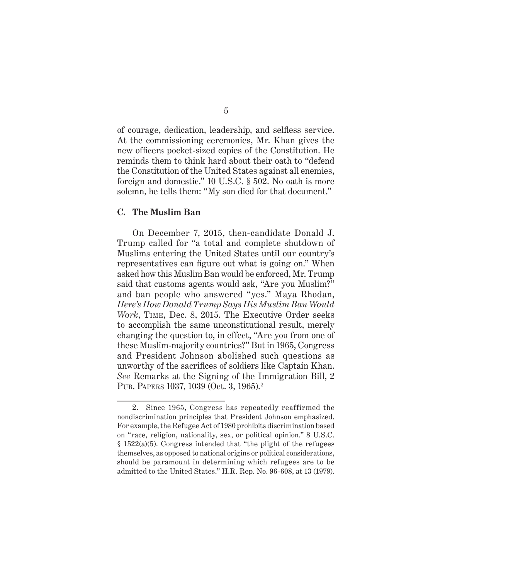of courage, dedication, leadership, and selfless service. At the commissioning ceremonies, Mr. Khan gives the new officers pocket-sized copies of the Constitution. He reminds them to think hard about their oath to "defend the Constitution of the United States against all enemies, foreign and domestic." 10 U.S.C. § 502. No oath is more solemn, he tells them: "My son died for that document."

#### **C. The Muslim Ban**

On December 7, 2015, then-candidate Donald J. Trump called for "a total and complete shutdown of Muslims entering the United States until our country's representatives can figure out what is going on." When asked how this Muslim Ban would be enforced, Mr. Trump said that customs agents would ask, "Are you Muslim?" and ban people who answered "yes." Maya Rhodan, *Here's How Donald Trump Says His Muslim Ban Would Work*, Time, Dec. 8, 2015. The Executive Order seeks to accomplish the same unconstitutional result, merely changing the question to, in effect, "Are you from one of these Muslim-majority countries?" But in 1965, Congress and President Johnson abolished such questions as unworthy of the sacrifices of soldiers like Captain Khan. *See* Remarks at the Signing of the Immigration Bill, 2 PUB. PAPERS 1037, 1039 (Oct. 3, 1965).<sup>2</sup>

<sup>2.</sup> Since 1965, Congress has repeatedly reaffirmed the nondiscrimination principles that President Johnson emphasized. For example, the Refugee Act of 1980 prohibits discrimination based on "race, religion, nationality, sex, or political opinion." 8 U.S.C. § 1522(a)(5). Congress intended that "the plight of the refugees themselves, as opposed to national origins or political considerations, should be paramount in determining which refugees are to be admitted to the United States." H.R. Rep. No. 96-608, at 13 (1979).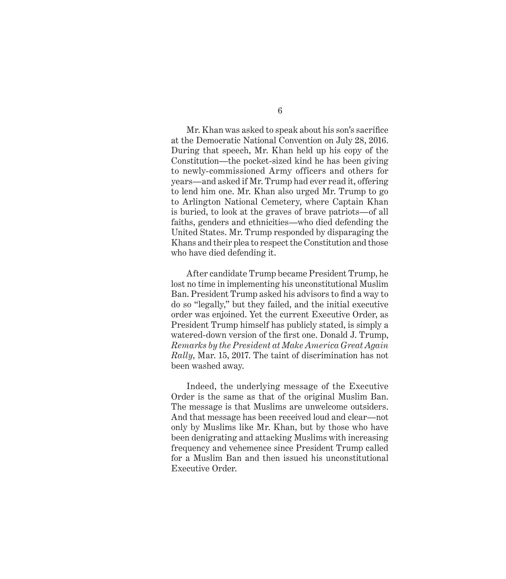6

Mr. Khan was asked to speak about his son's sacrifice at the Democratic National Convention on July 28, 2016. During that speech, Mr. Khan held up his copy of the Constitution—the pocket-sized kind he has been giving to newly-commissioned Army officers and others for years—and asked if Mr. Trump had ever read it, offering to lend him one. Mr. Khan also urged Mr. Trump to go to Arlington National Cemetery, where Captain Khan is buried, to look at the graves of brave patriots—of all faiths, genders and ethnicities—who died defending the United States. Mr. Trump responded by disparaging the Khans and their plea to respect the Constitution and those who have died defending it.

After candidate Trump became President Trump, he lost no time in implementing his unconstitutional Muslim Ban. President Trump asked his advisors to find a way to do so "legally," but they failed, and the initial executive order was enjoined. Yet the current Executive Order, as President Trump himself has publicly stated, is simply a watered-down version of the first one. Donald J. Trump, *Remarks by the President at Make America Great Again Rally*, Mar. 15, 2017. The taint of discrimination has not been washed away.

Indeed, the underlying message of the Executive Order is the same as that of the original Muslim Ban. The message is that Muslims are unwelcome outsiders. And that message has been received loud and clear—not only by Muslims like Mr. Khan, but by those who have been denigrating and attacking Muslims with increasing frequency and vehemence since President Trump called for a Muslim Ban and then issued his unconstitutional Executive Order.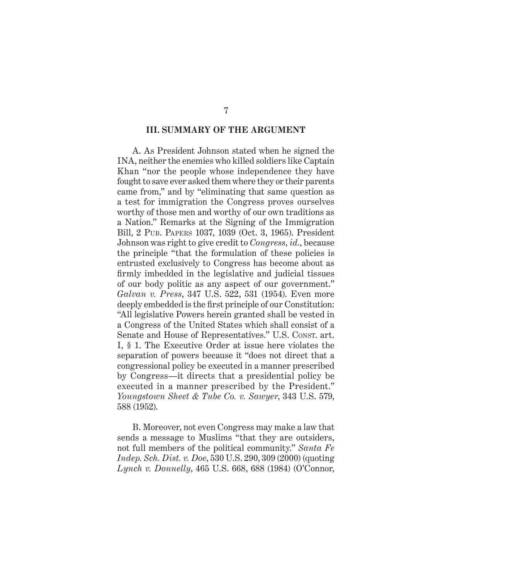#### **III. SUMMARY OF THE ARGUMENT**

A. As President Johnson stated when he signed the INA, neither the enemies who killed soldiers like Captain Khan "nor the people whose independence they have fought to save ever asked them where they or their parents came from," and by "eliminating that same question as a test for immigration the Congress proves ourselves worthy of those men and worthy of our own traditions as a Nation." Remarks at the Signing of the Immigration Bill, 2 Pub. Papers 1037, 1039 (Oct. 3, 1965). President Johnson was right to give credit to *Congress*, *id.*, because the principle "that the formulation of these policies is entrusted exclusively to Congress has become about as firmly imbedded in the legislative and judicial tissues of our body politic as any aspect of our government." *Galvan v. Press*, 347 U.S. 522, 531 (1954). Even more deeply embedded is the first principle of our Constitution: "All legislative Powers herein granted shall be vested in a Congress of the United States which shall consist of a Senate and House of Representatives." U.S. Const. art. I, § 1. The Executive Order at issue here violates the separation of powers because it "does not direct that a congressional policy be executed in a manner prescribed by Congress—it directs that a presidential policy be executed in a manner prescribed by the President." *Youngstown Sheet & Tube Co. v. Sawyer*, 343 U.S. 579, 588 (1952).

B. Moreover, not even Congress may make a law that sends a message to Muslims "that they are outsiders, not full members of the political community." *Santa Fe Indep. Sch. Dist. v. Doe*, 530 U.S. 290, 309 (2000) (quoting *Lynch v. Donnelly*, 465 U.S. 668, 688 (1984) (O'Connor,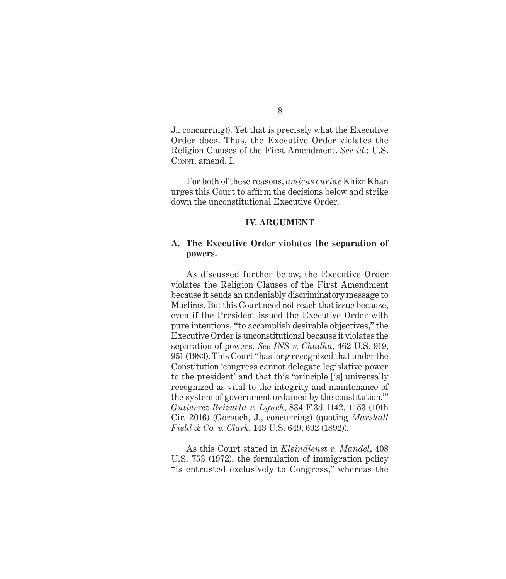J., concurring)). Yet that is precisely what the Executive Order does. Thus, the Executive Order violates the Religion Clauses of the First Amendment. *See id.*; U.S. CONST. amend. I.

For both of these reasons, *amicus curiae* Khizr Khan urges this Court to affirm the decisions below and strike down the unconstitutional Executive Order.

#### **IV. ARGUMENT**

#### **A. The Executive Order violates the separation of powers.**

As discussed further below, the Executive Order violates the Religion Clauses of the First Amendment because it sends an undeniably discriminatory message to Muslims. But this Court need not reach that issue because, even if the President issued the Executive Order with pure intentions, "to accomplish desirable objectives," the Executive Order is unconstitutional because it violates the separation of powers. *See INS v. Chadha*, 462 U.S. 919, 951 (1983). This Court "has long recognized that under the Constitution 'congress cannot delegate legislative power to the president' and that this 'principle [is] universally recognized as vital to the integrity and maintenance of the system of government ordained by the constitution.'" *Gutierrez-Brizuela v. Lynch*, 834 F.3d 1142, 1153 (10th Cir. 2016) (Gorsuch, J., concurring) (quoting *Marshall Field & Co. v. Clark*, 143 U.S. 649, 692 (1892)).

As this Court stated in *Kleindienst v. Mandel*, 408 U.S. 753 (1972), the formulation of immigration policy "is entrusted exclusively to Congress," whereas the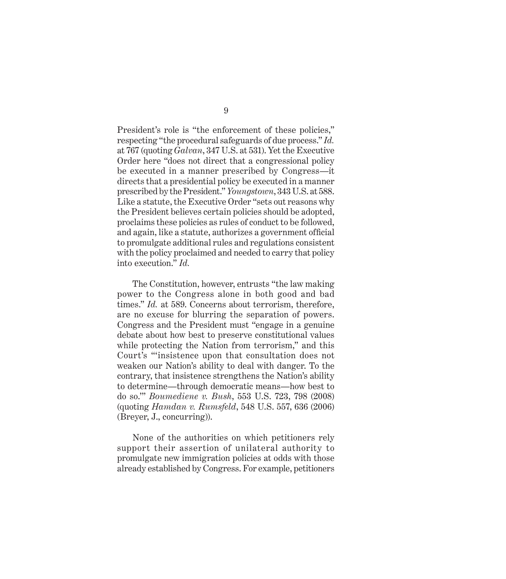President's role is "the enforcement of these policies," respecting "the procedural safeguards of due process." *Id.* at 767 (quoting *Galvan*, 347 U.S. at 531). Yet the Executive Order here "does not direct that a congressional policy be executed in a manner prescribed by Congress—it directs that a presidential policy be executed in a manner prescribed by the President." *Youngstown*, 343 U.S. at 588. Like a statute, the Executive Order "sets out reasons why the President believes certain policies should be adopted, proclaims these policies as rules of conduct to be followed, and again, like a statute, authorizes a government official to promulgate additional rules and regulations consistent with the policy proclaimed and needed to carry that policy into execution." *Id.*

The Constitution, however, entrusts "the law making power to the Congress alone in both good and bad times." *Id.* at 589. Concerns about terrorism, therefore, are no excuse for blurring the separation of powers. Congress and the President must "engage in a genuine debate about how best to preserve constitutional values while protecting the Nation from terrorism," and this Court's "'insistence upon that consultation does not weaken our Nation's ability to deal with danger. To the contrary, that insistence strengthens the Nation's ability to determine—through democratic means—how best to do so.'" *Boumediene v. Bush*, 553 U.S. 723, 798 (2008) (quoting *Hamdan v. Rumsfeld*, 548 U.S. 557, 636 (2006) (Breyer, J., concurring)).

None of the authorities on which petitioners rely support their assertion of unilateral authority to promulgate new immigration policies at odds with those already established by Congress. For example, petitioners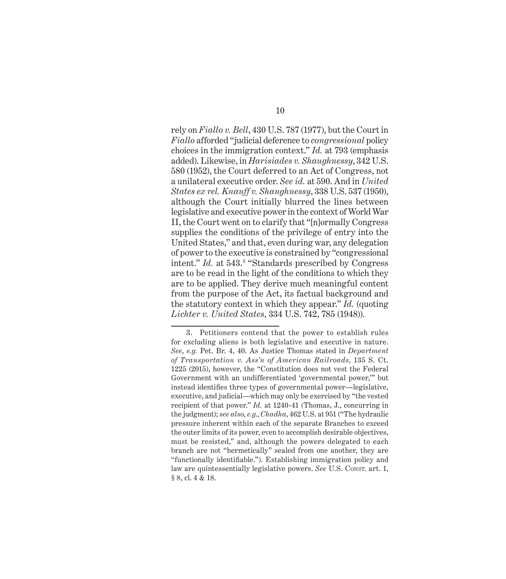rely on *Fiallo v. Bell*, 430 U.S. 787 (1977), but the Court in *Fiallo* afforded "judicial deference to *congressional* policy choices in the immigration context." *Id.* at 793 (emphasis added). Likewise, in *Harisiades v. Shaughnessy*, 342 U.S. 580 (1952), the Court deferred to an Act of Congress, not a unilateral executive order. *See id.* at 590. And in *United States ex rel. Knauff v. Shaughnessy*, 338 U.S. 537 (1950), although the Court initially blurred the lines between legislative and executive power in the context of World War II, the Court went on to clarify that "[n]ormally Congress supplies the conditions of the privilege of entry into the United States," and that, even during war, any delegation of power to the executive is constrained by "congressional intent." *Id.* at 543.3 "Standards prescribed by Congress are to be read in the light of the conditions to which they are to be applied. They derive much meaningful content from the purpose of the Act, its factual background and the statutory context in which they appear." *Id.* (quoting *Lichter v. United States*, 334 U.S. 742, 785 (1948)).

<sup>3.</sup> Petitioners contend that the power to establish rules for excluding aliens is both legislative and executive in nature. *See*, *e.g.* Pet. Br. 4, 40. As Justice Thomas stated in *Department of Transportation v. Ass'n of American Railroads*, 135 S. Ct. 1225 (2015), however, the "Constitution does not vest the Federal Government with an undifferentiated 'governmental power,'" but instead identifies three types of governmental power—legislative, executive, and judicial—which may only be exercised by "the vested recipient of that power." *Id.* at 1240-41 (Thomas, J., concurring in the judgment); *see also*, *e.g.*, *Chadha*, 462 U.S. at 951 ("The hydraulic pressure inherent within each of the separate Branches to exceed the outer limits of its power, even to accomplish desirable objectives, must be resisted," and, although the powers delegated to each branch are not "hermetically" sealed from one another, they are "functionally identifiable."). Establishing immigration policy and law are quintessentially legislative powers. *See* U.S. Const. art. 1, § 8, cl. 4 & 18.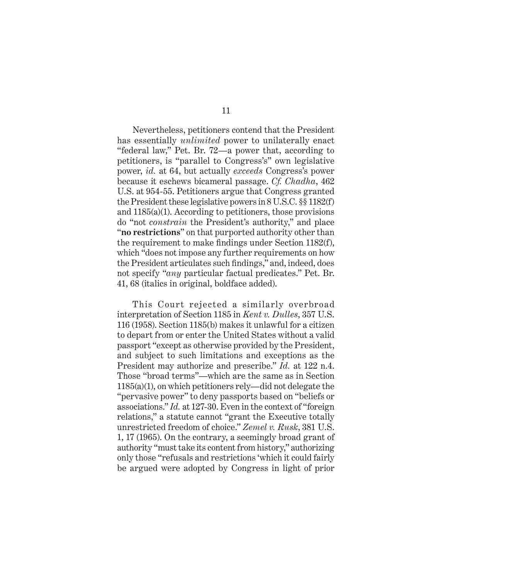Nevertheless, petitioners contend that the President has essentially *unlimited* power to unilaterally enact "federal law," Pet. Br. 72—a power that, according to petitioners, is "parallel to Congress's" own legislative power, *id.* at 64, but actually *exceeds* Congress's power because it eschews bicameral passage. *Cf. Chadha*, 462 U.S. at 954-55. Petitioners argue that Congress granted the President these legislative powers in 8 U.S.C. §§ 1182(f) and 1185(a)(1). According to petitioners, those provisions do "not *constrain* the President's authority," and place "**no restrictions**" on that purported authority other than the requirement to make findings under Section 1182(f), which "does not impose any further requirements on how the President articulates such findings," and, indeed, does not specify "*any* particular factual predicates." Pet. Br. 41, 68 (italics in original, boldface added).

This Court rejected a similarly overbroad interpretation of Section 1185 in *Kent v. Dulles*, 357 U.S. 116 (1958). Section 1185(b) makes it unlawful for a citizen to depart from or enter the United States without a valid passport "except as otherwise provided by the President, and subject to such limitations and exceptions as the President may authorize and prescribe." *Id.* at 122 n.4. Those "broad terms"—which are the same as in Section 1185(a)(1), on which petitioners rely—did not delegate the "pervasive power" to deny passports based on "beliefs or associations." *Id.* at 127-30. Even in the context of "foreign relations," a statute cannot "grant the Executive totally unrestricted freedom of choice." *Zemel v. Rusk*, 381 U.S. 1, 17 (1965). On the contrary, a seemingly broad grant of authority "must take its content from history," authorizing only those "refusals and restrictions 'which it could fairly be argued were adopted by Congress in light of prior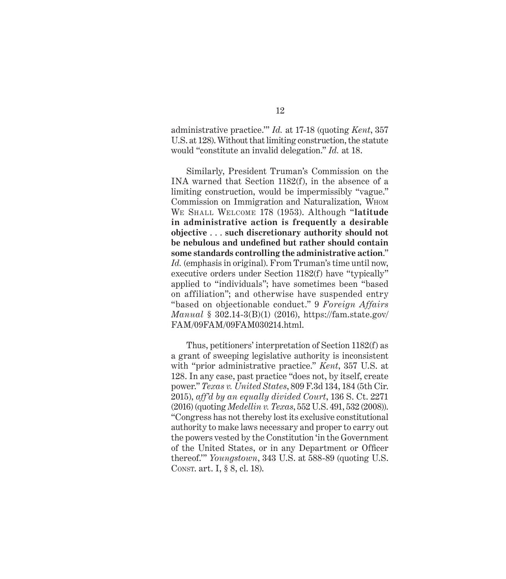administrative practice.'" *Id.* at 17-18 (quoting *Kent*, 357 U.S. at 128). Without that limiting construction, the statute would "constitute an invalid delegation." *Id.* at 18.

Similarly, President Truman's Commission on the INA warned that Section 1182(f), in the absence of a limiting construction, would be impermissibly "vague." Commission on Immigration and Naturalization*,* Whom We Shall Welcome 178 (1953). Although "**latitude in administrative action is frequently a desirable objective** . . . **such discretionary authority should not be nebulous and undefined but rather should contain some standards controlling the administrative action**." *Id.* (emphasis in original). From Truman's time until now, executive orders under Section 1182(f) have "typically" applied to "individuals"; have sometimes been "based on affiliation"; and otherwise have suspended entry "based on objectionable conduct." 9 *Foreign Affairs Manual* § 302.14-3(B)(1) (2016), https://fam.state.gov/ FAM/09FAM/09FAM030214.html.

Thus, petitioners' interpretation of Section 1182(f) as a grant of sweeping legislative authority is inconsistent with "prior administrative practice." *Kent*, 357 U.S. at 128. In any case, past practice "does not, by itself, create power." *Texas v. United States*, 809 F.3d 134, 184 (5th Cir. 2015), *aff'd by an equally divided Court*, 136 S. Ct. 2271 (2016) (quoting *Medellin v. Texas*, 552 U.S. 491, 532 (2008)). "Congress has not thereby lost its exclusive constitutional authority to make laws necessary and proper to carry out the powers vested by the Constitution 'in the Government of the United States, or in any Department or Officer thereof.'" *Youngstown*, 343 U.S. at 588-89 (quoting U.S. Const. art. I, § 8, cl. 18).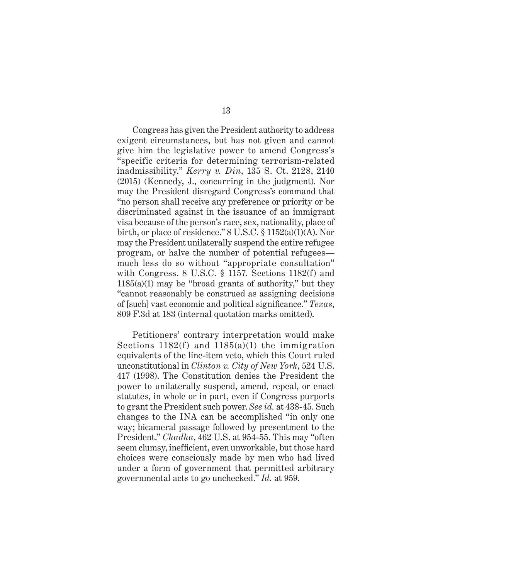Congress has given the President authority to address exigent circumstances, but has not given and cannot give him the legislative power to amend Congress's "specific criteria for determining terrorism-related inadmissibility." *Kerry v. Din*, 135 S. Ct. 2128, 2140 (2015) (Kennedy, J., concurring in the judgment). Nor may the President disregard Congress's command that "no person shall receive any preference or priority or be discriminated against in the issuance of an immigrant visa because of the person's race, sex, nationality, place of birth, or place of residence." 8 U.S.C. § 1152(a)(1)(A). Nor may the President unilaterally suspend the entire refugee program, or halve the number of potential refugees much less do so without "appropriate consultation" with Congress. 8 U.S.C. § 1157. Sections 1182(f) and 1185(a)(1) may be "broad grants of authority," but they "cannot reasonably be construed as assigning decisions of [such] vast economic and political significance." *Texas*, 809 F.3d at 183 (internal quotation marks omitted).

Petitioners' contrary interpretation would make Sections 1182(f) and 1185(a)(1) the immigration equivalents of the line-item veto, which this Court ruled unconstitutional in *Clinton v. City of New York*, 524 U.S. 417 (1998). The Constitution denies the President the power to unilaterally suspend, amend, repeal, or enact statutes, in whole or in part, even if Congress purports to grant the President such power. *See id.* at 438-45. Such changes to the INA can be accomplished "in only one way; bicameral passage followed by presentment to the President." *Chadha*, 462 U.S. at 954-55. This may "often seem clumsy, inefficient, even unworkable, but those hard choices were consciously made by men who had lived under a form of government that permitted arbitrary governmental acts to go unchecked." *Id.* at 959.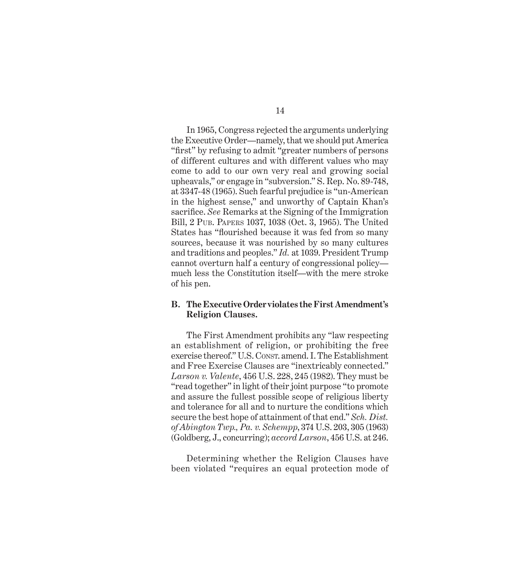In 1965, Congress rejected the arguments underlying the Executive Order—namely, that we should put America "first" by refusing to admit "greater numbers of persons of different cultures and with different values who may come to add to our own very real and growing social upheavals," or engage in "subversion." S. Rep. No. 89-748, at 3347-48 (1965). Such fearful prejudice is "un-American in the highest sense," and unworthy of Captain Khan's sacrifice. *See* Remarks at the Signing of the Immigration Bill, 2 Pub. Papers 1037, 1038 (Oct. 3, 1965). The United States has "flourished because it was fed from so many sources, because it was nourished by so many cultures and traditions and peoples." *Id.* at 1039. President Trump cannot overturn half a century of congressional policy much less the Constitution itself—with the mere stroke of his pen.

#### **B. TheExecutiveOrder violates the First Amendment's Religion Clauses.**

The First Amendment prohibits any "law respecting an establishment of religion, or prohibiting the free exercise thereof." U.S. Const. amend. I. The Establishment and Free Exercise Clauses are "inextricably connected." *Larson v. Valente*, 456 U.S. 228, 245 (1982). They must be "read together" in light of their joint purpose "to promote and assure the fullest possible scope of religious liberty and tolerance for all and to nurture the conditions which secure the best hope of attainment of that end." *Sch. Dist. of Abington Twp., Pa. v. Schempp*, 374 U.S. 203, 305 (1963) (Goldberg, J., concurring); *accord Larson*, 456 U.S. at 246.

Determining whether the Religion Clauses have been violated "requires an equal protection mode of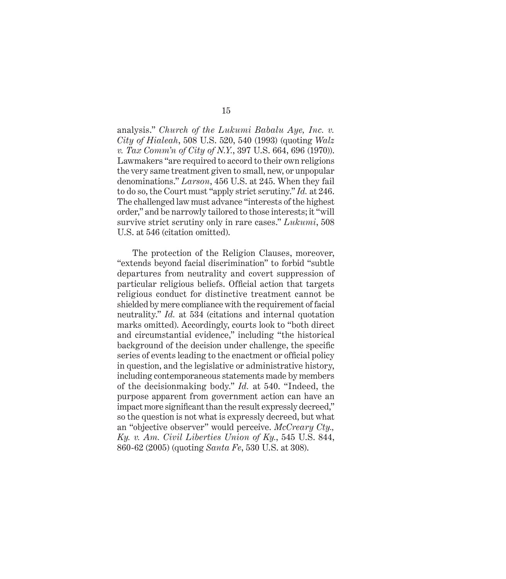analysis." *Church of the Lukumi Babalu Aye, Inc. v. City of Hialeah*, 508 U.S. 520, 540 (1993) (quoting *Walz v. Tax Comm'n of City of N.Y.*, 397 U.S. 664, 696 (1970)). Lawmakers "are required to accord to their own religions the very same treatment given to small, new, or unpopular denominations." *Larson*, 456 U.S. at 245. When they fail to do so, the Court must "apply strict scrutiny." *Id.* at 246. The challenged law must advance "interests of the highest order," and be narrowly tailored to those interests; it "will survive strict scrutiny only in rare cases." *Lukumi*, 508 U.S. at 546 (citation omitted).

The protection of the Religion Clauses, moreover, "extends beyond facial discrimination" to forbid "subtle departures from neutrality and covert suppression of particular religious beliefs. Official action that targets religious conduct for distinctive treatment cannot be shielded by mere compliance with the requirement of facial neutrality." *Id.* at 534 (citations and internal quotation marks omitted). Accordingly, courts look to "both direct and circumstantial evidence," including "the historical background of the decision under challenge, the specific series of events leading to the enactment or official policy in question, and the legislative or administrative history, including contemporaneous statements made by members of the decisionmaking body." *Id.* at 540. "Indeed, the purpose apparent from government action can have an impact more significant than the result expressly decreed," so the question is not what is expressly decreed, but what an "objective observer" would perceive. *McCreary Cty., Ky. v. Am. Civil Liberties Union of Ky.*, 545 U.S. 844, 860-62 (2005) (quoting *Santa Fe*, 530 U.S. at 308).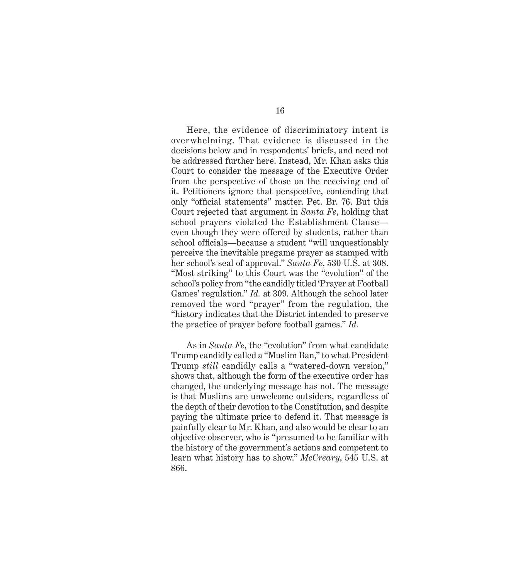Here, the evidence of discriminatory intent is overwhelming. That evidence is discussed in the decisions below and in respondents' briefs, and need not be addressed further here. Instead, Mr. Khan asks this Court to consider the message of the Executive Order from the perspective of those on the receiving end of it. Petitioners ignore that perspective, contending that only "official statements" matter. Pet. Br. 76. But this Court rejected that argument in *Santa Fe*, holding that school prayers violated the Establishment Clause even though they were offered by students, rather than school officials—because a student "will unquestionably perceive the inevitable pregame prayer as stamped with her school's seal of approval." *Santa Fe*, 530 U.S. at 308. "Most striking" to this Court was the "evolution" of the school's policy from "the candidly titled 'Prayer at Football Games' regulation." *Id.* at 309. Although the school later removed the word "prayer" from the regulation, the "history indicates that the District intended to preserve the practice of prayer before football games." *Id.*

As in *Santa Fe*, the "evolution" from what candidate Trump candidly called a "Muslim Ban," to what President Trump *still* candidly calls a "watered-down version," shows that, although the form of the executive order has changed, the underlying message has not. The message is that Muslims are unwelcome outsiders, regardless of the depth of their devotion to the Constitution, and despite paying the ultimate price to defend it. That message is painfully clear to Mr. Khan, and also would be clear to an objective observer, who is "presumed to be familiar with the history of the government's actions and competent to learn what history has to show." *McCreary*, 545 U.S. at 866.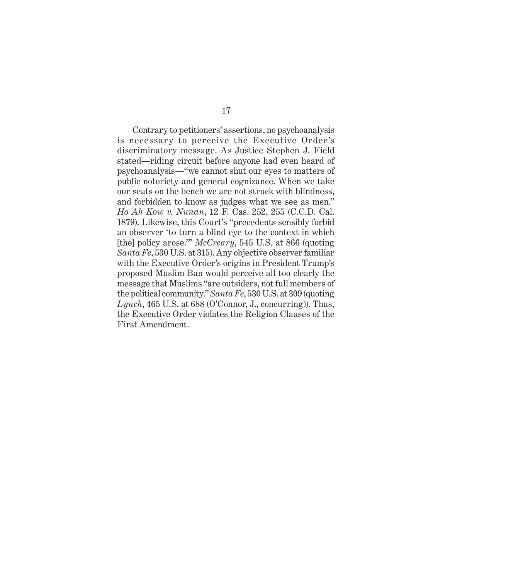Contrary to petitioners' assertions, no psychoanalysis is necessary to perceive the Executive Order's discriminatory message. As Justice Stephen J. Field stated—riding circuit before anyone had even heard of psychoanalysis—"we cannot shut our eyes to matters of public notoriety and general cognizance. When we take our seats on the bench we are not struck with blindness, and forbidden to know as judges what we see as men." *Ho Ah Kow v. Nunan*, 12 F. Cas. 252, 255 (C.C.D. Cal. 1879). Likewise, this Court's "precedents sensibly forbid an observer 'to turn a blind eye to the context in which [the] policy arose.'" *McCreary*, 545 U.S. at 866 (quoting *Santa Fe*, 530 U.S. at 315). Any objective observer familiar with the Executive Order's origins in President Trump's proposed Muslim Ban would perceive all too clearly the message that Muslims "are outsiders, not full members of the political community." *Santa Fe*, 530 U.S. at 309 (quoting *Lynch*, 465 U.S. at 688 (O'Connor, J., concurring)). Thus, the Executive Order violates the Religion Clauses of the First Amendment.